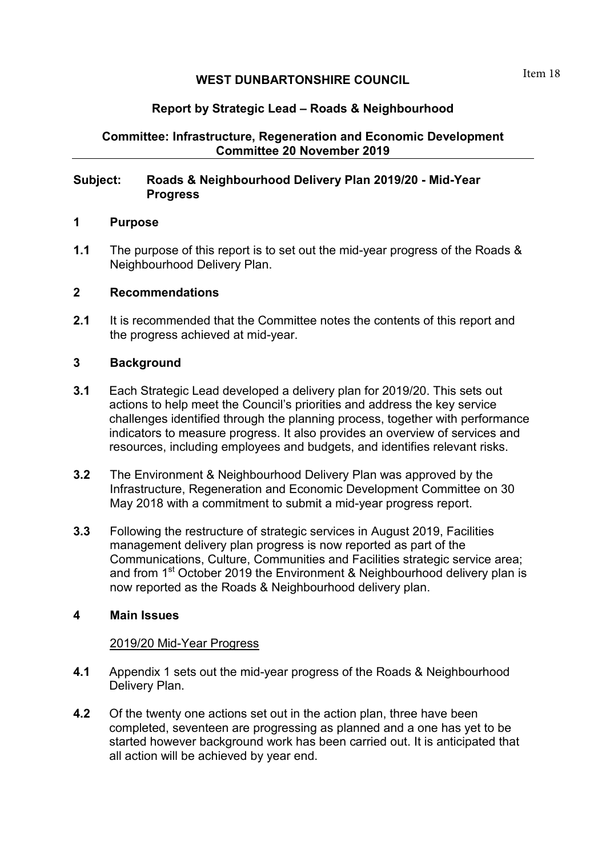# **WEST DUNBARTONSHIRE COUNCIL**

# **Report by Strategic Lead – Roads & Neighbourhood**

# **Committee: Infrastructure, Regeneration and Economic Development Committee 20 November 2019**

## **Subject: Roads & Neighbourhood Delivery Plan 2019/20 - Mid-Year Progress**

### **1 Purpose**

**1.1** The purpose of this report is to set out the mid-year progress of the Roads & Neighbourhood Delivery Plan.

### **2 Recommendations**

**2.1** It is recommended that the Committee notes the contents of this report and the progress achieved at mid-year.

### **3 Background**

- **3.1** Each Strategic Lead developed a delivery plan for 2019/20. This sets out actions to help meet the Council's priorities and address the key service challenges identified through the planning process, together with performance indicators to measure progress. It also provides an overview of services and resources, including employees and budgets, and identifies relevant risks.
- **3.2** The Environment & Neighbourhood Delivery Plan was approved by the Infrastructure, Regeneration and Economic Development Committee on 30 May 2018 with a commitment to submit a mid-year progress report.
- **3.3** Following the restructure of strategic services in August 2019, Facilities management delivery plan progress is now reported as part of the Communications, Culture, Communities and Facilities strategic service area; and from 1<sup>st</sup> October 2019 the Environment & Neighbourhood delivery plan is now reported as the Roads & Neighbourhood delivery plan.

### **4 Main Issues**

#### 2019/20 Mid-Year Progress

- **4.1** Appendix 1 sets out the mid-year progress of the Roads & Neighbourhood Delivery Plan.
- **4.2** Of the twenty one actions set out in the action plan, three have been completed, seventeen are progressing as planned and a one has yet to be started however background work has been carried out. It is anticipated that all action will be achieved by year end.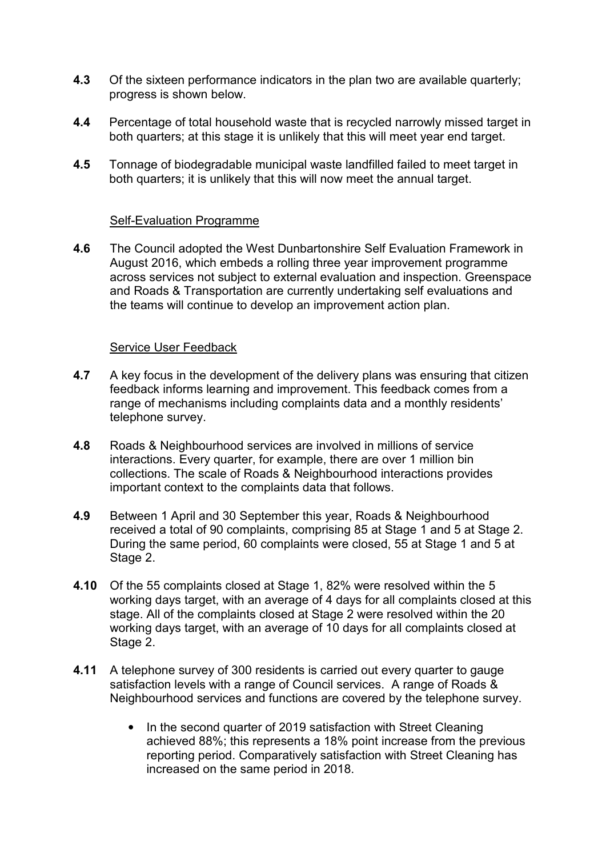- **4.3** Of the sixteen performance indicators in the plan two are available quarterly; progress is shown below.
- **4.4** Percentage of total household waste that is recycled narrowly missed target in both quarters; at this stage it is unlikely that this will meet year end target.
- **4.5** Tonnage of biodegradable municipal waste landfilled failed to meet target in both quarters; it is unlikely that this will now meet the annual target.

### Self-Evaluation Programme

**4.6** The Council adopted the West Dunbartonshire Self Evaluation Framework in August 2016, which embeds a rolling three year improvement programme across services not subject to external evaluation and inspection. Greenspace and Roads & Transportation are currently undertaking self evaluations and the teams will continue to develop an improvement action plan.

### Service User Feedback

- **4.7** A key focus in the development of the delivery plans was ensuring that citizen feedback informs learning and improvement. This feedback comes from a range of mechanisms including complaints data and a monthly residents' telephone survey.
- **4.8** Roads & Neighbourhood services are involved in millions of service interactions. Every quarter, for example, there are over 1 million bin collections. The scale of Roads & Neighbourhood interactions provides important context to the complaints data that follows.
- **4.9** Between 1 April and 30 September this year, Roads & Neighbourhood received a total of 90 complaints, comprising 85 at Stage 1 and 5 at Stage 2. During the same period, 60 complaints were closed, 55 at Stage 1 and 5 at Stage 2.
- **4.10** Of the 55 complaints closed at Stage 1, 82% were resolved within the 5 working days target, with an average of 4 days for all complaints closed at this stage. All of the complaints closed at Stage 2 were resolved within the 20 working days target, with an average of 10 days for all complaints closed at Stage 2.
- **4.11** A telephone survey of 300 residents is carried out every quarter to gauge satisfaction levels with a range of Council services. A range of Roads & Neighbourhood services and functions are covered by the telephone survey.
	- In the second quarter of 2019 satisfaction with Street Cleaning achieved 88%; this represents a 18% point increase from the previous reporting period. Comparatively satisfaction with Street Cleaning has increased on the same period in 2018.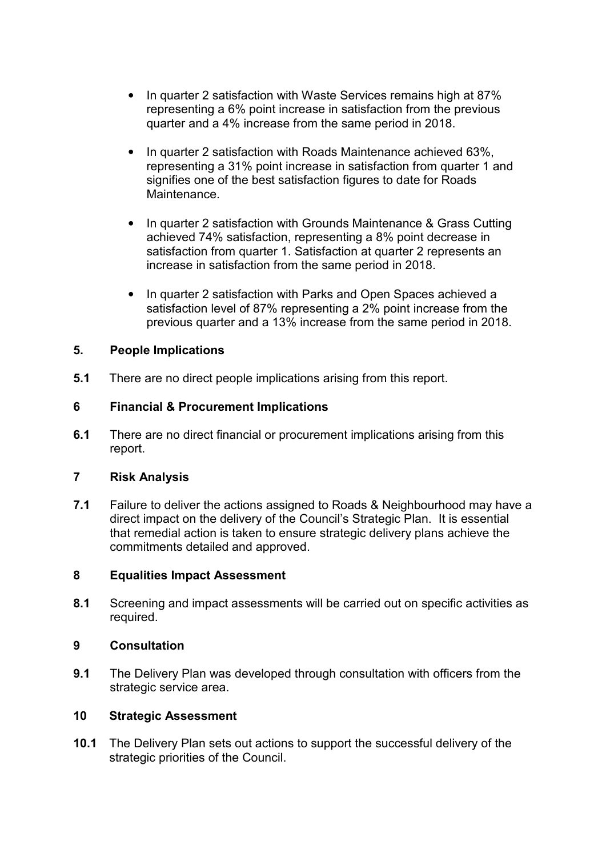- In quarter 2 satisfaction with Waste Services remains high at 87% representing a 6% point increase in satisfaction from the previous quarter and a 4% increase from the same period in 2018.
- In quarter 2 satisfaction with Roads Maintenance achieved 63%, representing a 31% point increase in satisfaction from quarter 1 and signifies one of the best satisfaction figures to date for Roads Maintenance.
- In quarter 2 satisfaction with Grounds Maintenance & Grass Cutting achieved 74% satisfaction, representing a 8% point decrease in satisfaction from quarter 1. Satisfaction at quarter 2 represents an increase in satisfaction from the same period in 2018.
- In quarter 2 satisfaction with Parks and Open Spaces achieved a satisfaction level of 87% representing a 2% point increase from the previous quarter and a 13% increase from the same period in 2018.

## **5. People Implications**

**5.1** There are no direct people implications arising from this report.

## **6 Financial & Procurement Implications**

**6.1** There are no direct financial or procurement implications arising from this report.

### **7 Risk Analysis**

**7.1** Failure to deliver the actions assigned to Roads & Neighbourhood may have a direct impact on the delivery of the Council's Strategic Plan. It is essential that remedial action is taken to ensure strategic delivery plans achieve the commitments detailed and approved.

### **8 Equalities Impact Assessment**

**8.1** Screening and impact assessments will be carried out on specific activities as required.

## **9 Consultation**

**9.1** The Delivery Plan was developed through consultation with officers from the strategic service area.

### **10 Strategic Assessment**

**10.1** The Delivery Plan sets out actions to support the successful delivery of the strategic priorities of the Council.